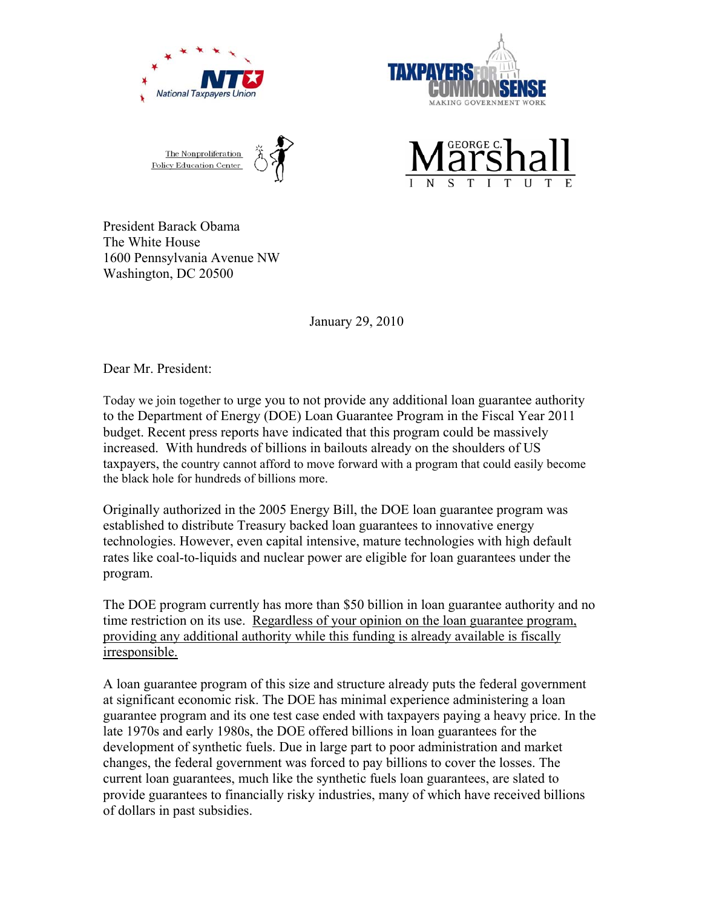







President Barack Obama The White House 1600 Pennsylvania Avenue NW Washington, DC 20500

January 29, 2010

Dear Mr. President:

Today we join together to urge you to not provide any additional loan guarantee authority to the Department of Energy (DOE) Loan Guarantee Program in the Fiscal Year 2011 budget. Recent press reports have indicated that this program could be massively increased. With hundreds of billions in bailouts already on the shoulders of US taxpayers, the country cannot afford to move forward with a program that could easily become the black hole for hundreds of billions more.

Originally authorized in the 2005 Energy Bill, the DOE loan guarantee program was established to distribute Treasury backed loan guarantees to innovative energy technologies. However, even capital intensive, mature technologies with high default rates like coal-to-liquids and nuclear power are eligible for loan guarantees under the program.

The DOE program currently has more than \$50 billion in loan guarantee authority and no time restriction on its use. Regardless of your opinion on the loan guarantee program, providing any additional authority while this funding is already available is fiscally irresponsible.

A loan guarantee program of this size and structure already puts the federal government at significant economic risk. The DOE has minimal experience administering a loan guarantee program and its one test case ended with taxpayers paying a heavy price. In the late 1970s and early 1980s, the DOE offered billions in loan guarantees for the development of synthetic fuels. Due in large part to poor administration and market changes, the federal government was forced to pay billions to cover the losses. The current loan guarantees, much like the synthetic fuels loan guarantees, are slated to provide guarantees to financially risky industries, many of which have received billions of dollars in past subsidies.